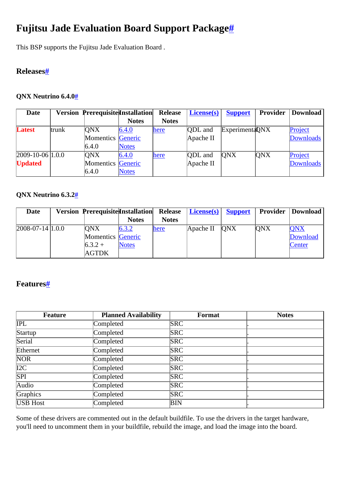# <span id="page-0-0"></span>**Fujitsu Jade Evaluation Board Support Package[#](#page-0-0)**

This BSP supports the Fujitsu Jade Evaluation Board .

## <span id="page-0-1"></span>**Release[s#](#page-0-1)**

#### <span id="page-0-2"></span>**QNX Neutrino 6.4.[0#](#page-0-2)**

| <b>Date</b>          |       | <b>Version Prerequisite Installation</b> |              | <b>Release</b> | <b>License(s)</b> | <b>Support</b>  | <b>Provider</b> | Download         |
|----------------------|-------|------------------------------------------|--------------|----------------|-------------------|-----------------|-----------------|------------------|
|                      |       |                                          | <b>Notes</b> | <b>Notes</b>   |                   |                 |                 |                  |
| Latest               | trunk | <b>ONX</b>                               | 6.4.0        | here           | <b>QDL</b> and    | Experimenta DNX |                 | Project          |
|                      |       | Momentics Generic                        |              |                | Apache II         |                 |                 | <b>Downloads</b> |
|                      |       | 6.4.0                                    | <b>Notes</b> |                |                   |                 |                 |                  |
| $[2009-10-06]1.0.0]$ |       | <b>ONX</b>                               | 6.4.0        | here           | <b>ODL</b> and    | <b>ONX</b>      | ONX             | Project          |
| <b>Updated</b>       |       | Momentics Generic                        |              |                | Apache II         |                 |                 | <b>Downloads</b> |
|                      |       | 6.4.0                                    | <b>Notes</b> |                |                   |                 |                 |                  |

#### <span id="page-0-3"></span>**QNX Neutrino 6.3.[2#](#page-0-3)**

| <b>Date</b>          | <b>Version Prerequisite Installation</b> |              | <b>Release</b> | $  \text{ License}(s)  $ | <b>Support</b> | Provider   | Download   |
|----------------------|------------------------------------------|--------------|----------------|--------------------------|----------------|------------|------------|
|                      |                                          | <b>Notes</b> | <b>Notes</b>   |                          |                |            |            |
| $ 2008-07-14 1.0.0 $ | <b>ONX</b>                               | 6.3.2        | here           | Apache II                | <b>ONX</b>     | <b>ONX</b> | <b>QNX</b> |
|                      | Momentics Generic                        |              |                |                          |                |            | Download   |
|                      | $6.3.2 +$                                | <b>Notes</b> |                |                          |                |            | Center     |
|                      | AGTDK                                    |              |                |                          |                |            |            |

## <span id="page-0-4"></span>**Features[#](#page-0-4)**

| Feature          | <b>Planned Availability</b> | <b>Format</b> | <b>Notes</b> |
|------------------|-----------------------------|---------------|--------------|
| IPL              | Completed                   | <b>SRC</b>    |              |
| Startup          | Completed                   | <b>SRC</b>    |              |
| Serial           | Completed                   | <b>SRC</b>    |              |
| Ethernet         | Completed                   | <b>SRC</b>    |              |
| NOR <sub>1</sub> | Completed                   | <b>SRC</b>    |              |
| $\overline{I2C}$ | Completed                   | <b>SRC</b>    |              |
| SPI              | Completed                   | <b>SRC</b>    |              |
| Audio            | Completed                   | <b>SRC</b>    |              |
| Graphics         | Completed                   | <b>SRC</b>    |              |
| <b>USB</b> Host  | Completed                   | BIN           |              |

Some of these drivers are commented out in the default buildfile. To use the drivers in the target hardware, you'll need to uncomment them in your buildfile, rebuild the image, and load the image into the board.